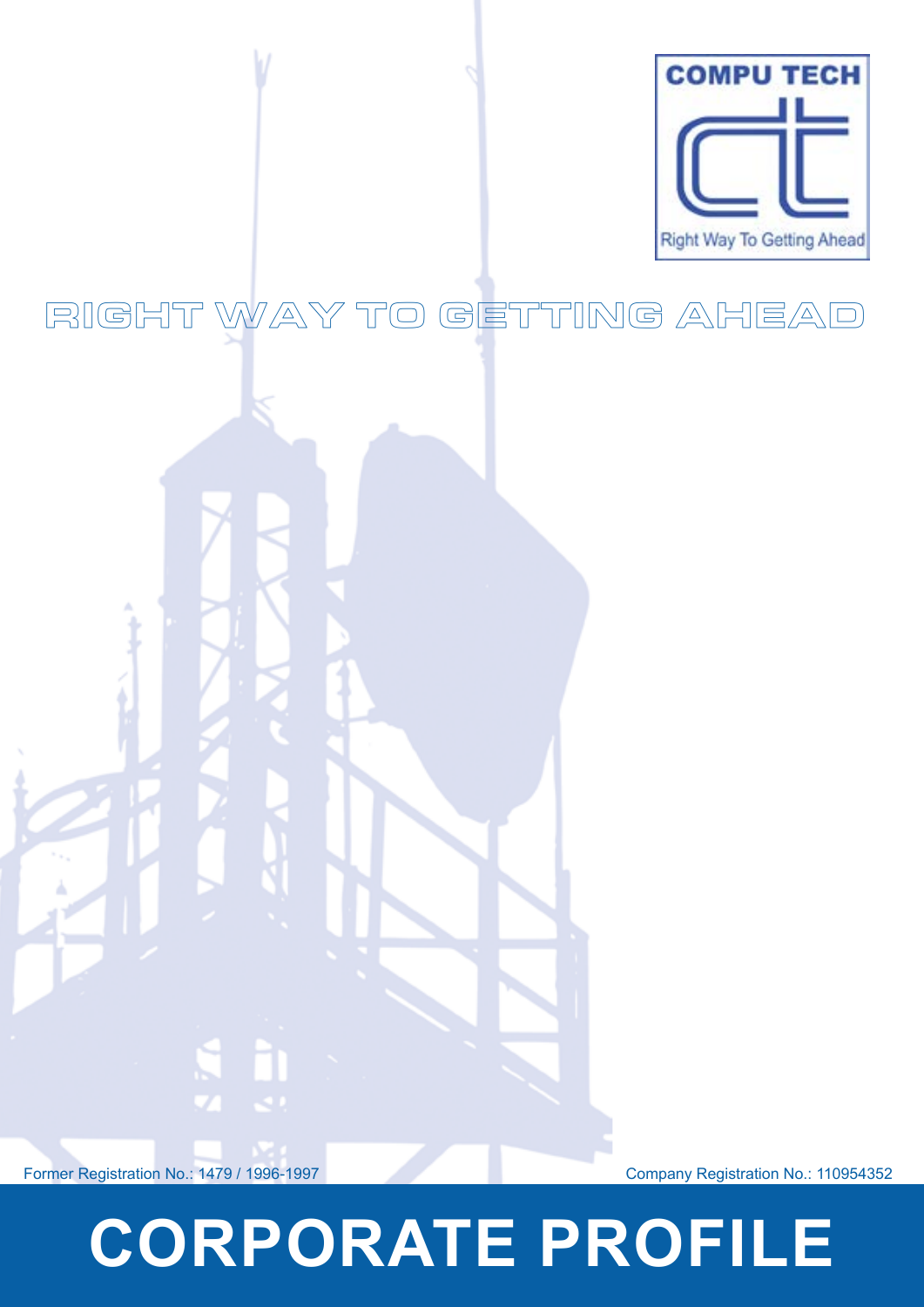

### RIGHT WAY TO GETTING AHEAD



s h

# **CORPORATE PROFILE**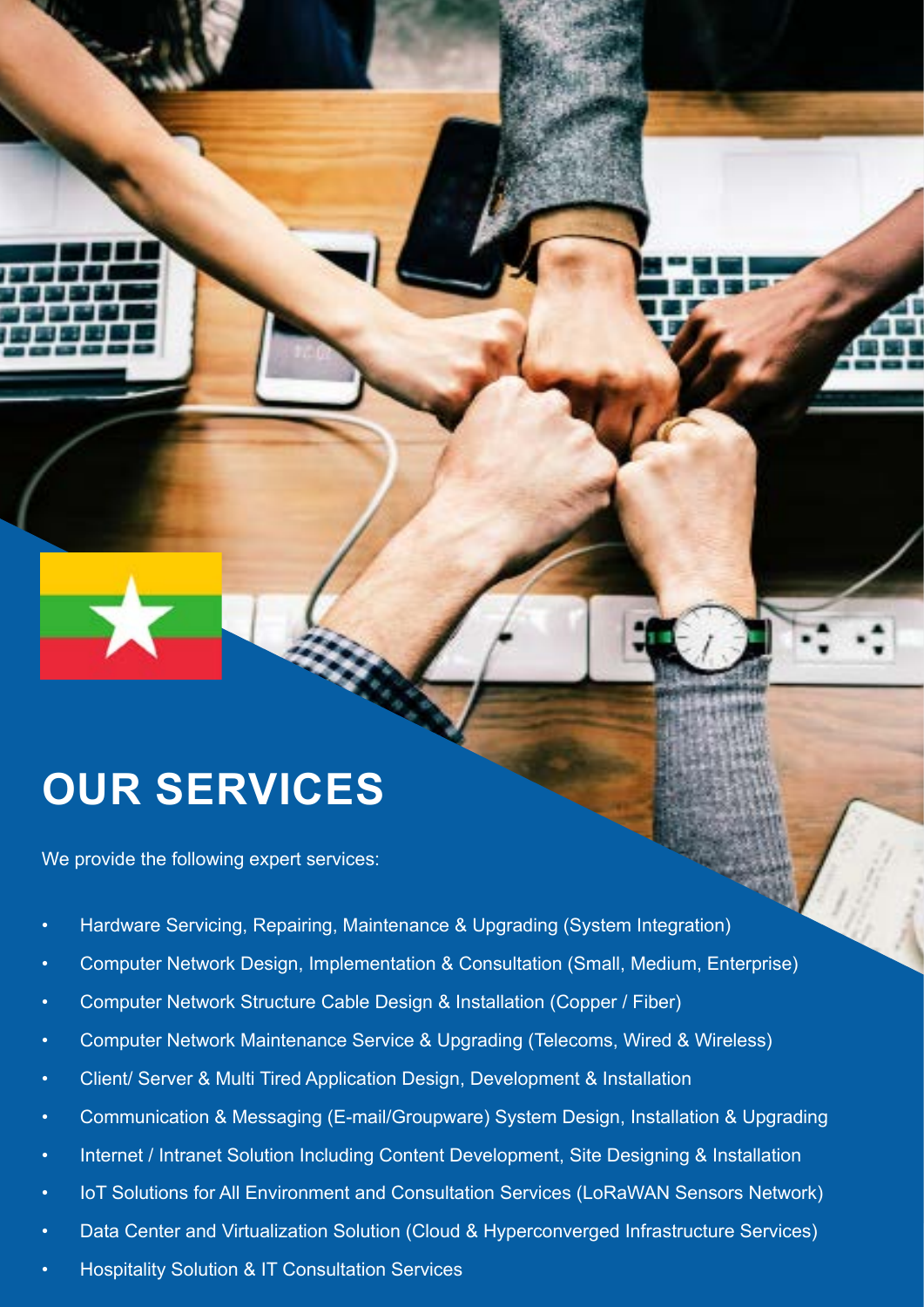### **OUR SERVICES**

We provide the following expert services:

- Hardware Servicing, Repairing, Maintenance & Upgrading (System Integration)
- Computer Network Design, Implementation & Consultation (Small, Medium, Enterprise)
- Computer Network Structure Cable Design & Installation (Copper / Fiber)
- Computer Network Maintenance Service & Upgrading (Telecoms, Wired & Wireless)
- Client/ Server & Multi Tired Application Design, Development & Installation
- Communication & Messaging (E-mail/Groupware) System Design, Installation & Upgrading
- Internet / Intranet Solution Including Content Development, Site Designing & Installation
- IoT Solutions for All Environment and Consultation Services (LoRaWAN Sensors Network)
- Data Center and Virtualization Solution (Cloud & Hyperconverged Infrastructure Services)
- Hospitality Solution & IT Consultation Services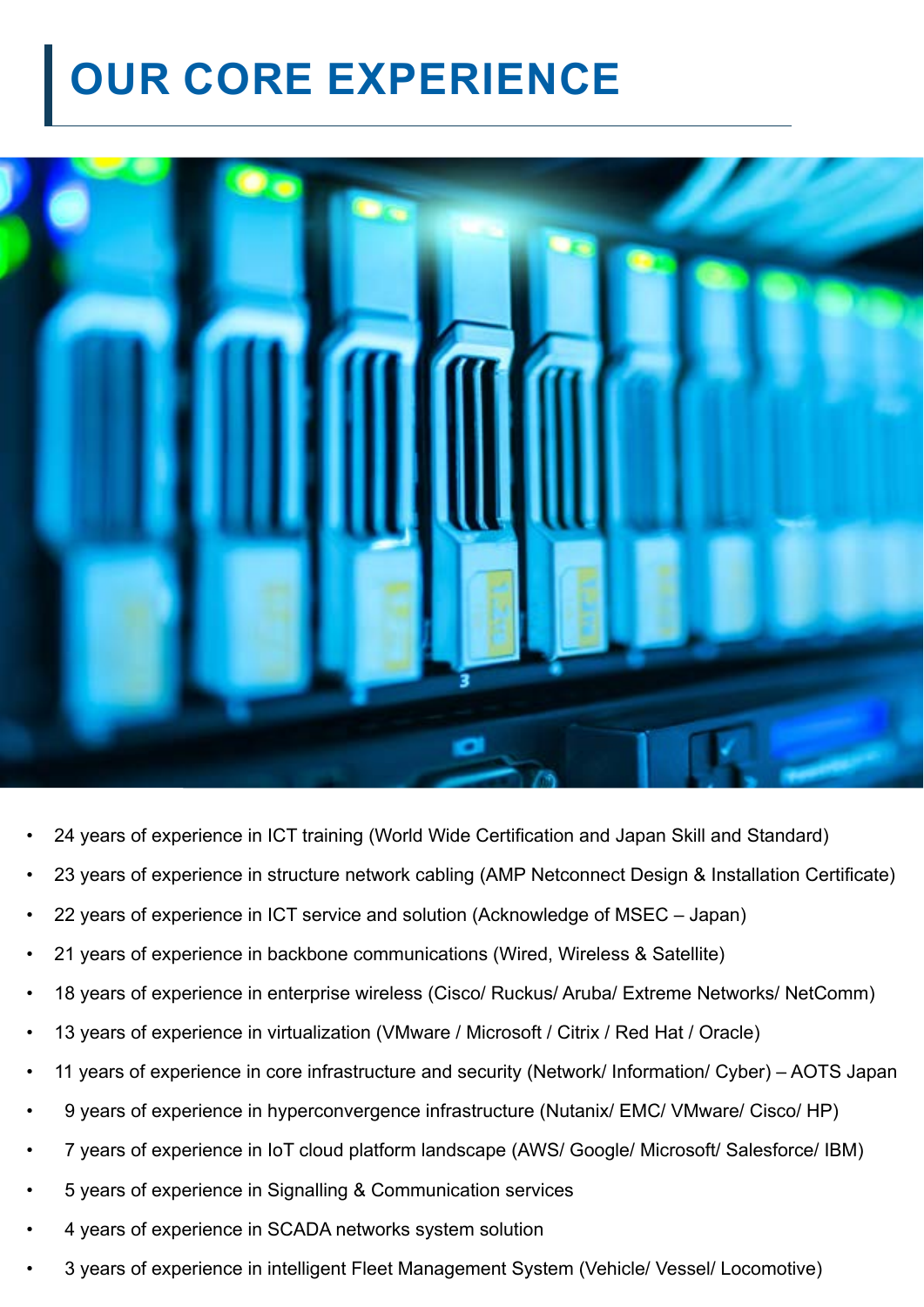### **OUR CORE EXPERIENCE**



- 24 years of experience in ICT training (World Wide Certification and Japan Skill and Standard)
- 23 years of experience in structure network cabling (AMP Netconnect Design & Installation Certificate)
- 22 years of experience in ICT service and solution (Acknowledge of MSEC Japan)
- 21 years of experience in backbone communications (Wired, Wireless & Satellite)
- 18 years of experience in enterprise wireless (Cisco/ Ruckus/ Aruba/ Extreme Networks/ NetComm)
- 13 years of experience in virtualization (VMware / Microsoft / Citrix / Red Hat / Oracle)
- 11 years of experience in core infrastructure and security (Network/ Information/ Cyber) AOTS Japan
- 9 years of experience in hyperconvergence infrastructure (Nutanix/ EMC/ VMware/ Cisco/ HP)
- 7 years of experience in IoT cloud platform landscape (AWS/ Google/ Microsoft/ Salesforce/ IBM)
- 5 years of experience in Signalling & Communication services
- 4 years of experience in SCADA networks system solution
- 3 years of experience in intelligent Fleet Management System (Vehicle/ Vessel/ Locomotive)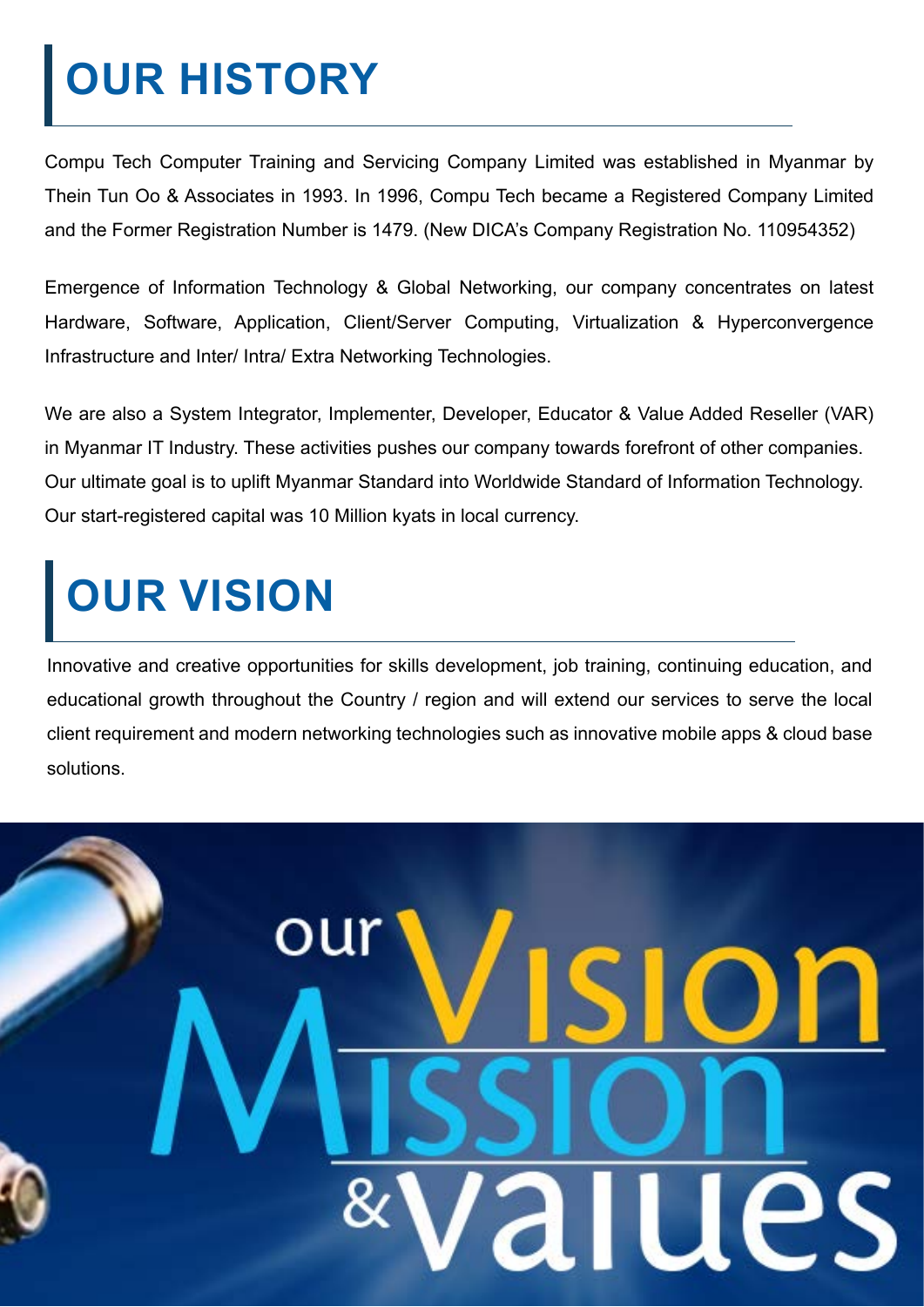## **OUR HISTORY**

Compu Tech Computer Training and Servicing Company Limited was established in Myanmar by Thein Tun Oo & Associates in 1993. In 1996, Compu Tech became a Registered Company Limited and the Former Registration Number is 1479. (New DICA's Company Registration No. 110954352)

Emergence of Information Technology & Global Networking, our company concentrates on latest Hardware, Software, Application, Client/Server Computing, Virtualization & Hyperconvergence Infrastructure and Inter/ Intra/ Extra Networking Technologies.

We are also a System Integrator, Implementer, Developer, Educator & Value Added Reseller (VAR) in Myanmar IT Industry. These activities pushes our company towards forefront of other companies. Our ultimate goal is to uplift Myanmar Standard into Worldwide Standard of Information Technology. Our start-registered capital was 10 Million kyats in local currency.

# **OUR VISION**

Innovative and creative opportunities for skills development, job training, continuing education, and educational growth throughout the Country / region and will extend our services to serve the local client requirement and modern networking technologies such as innovative mobile apps & cloud base solutions.

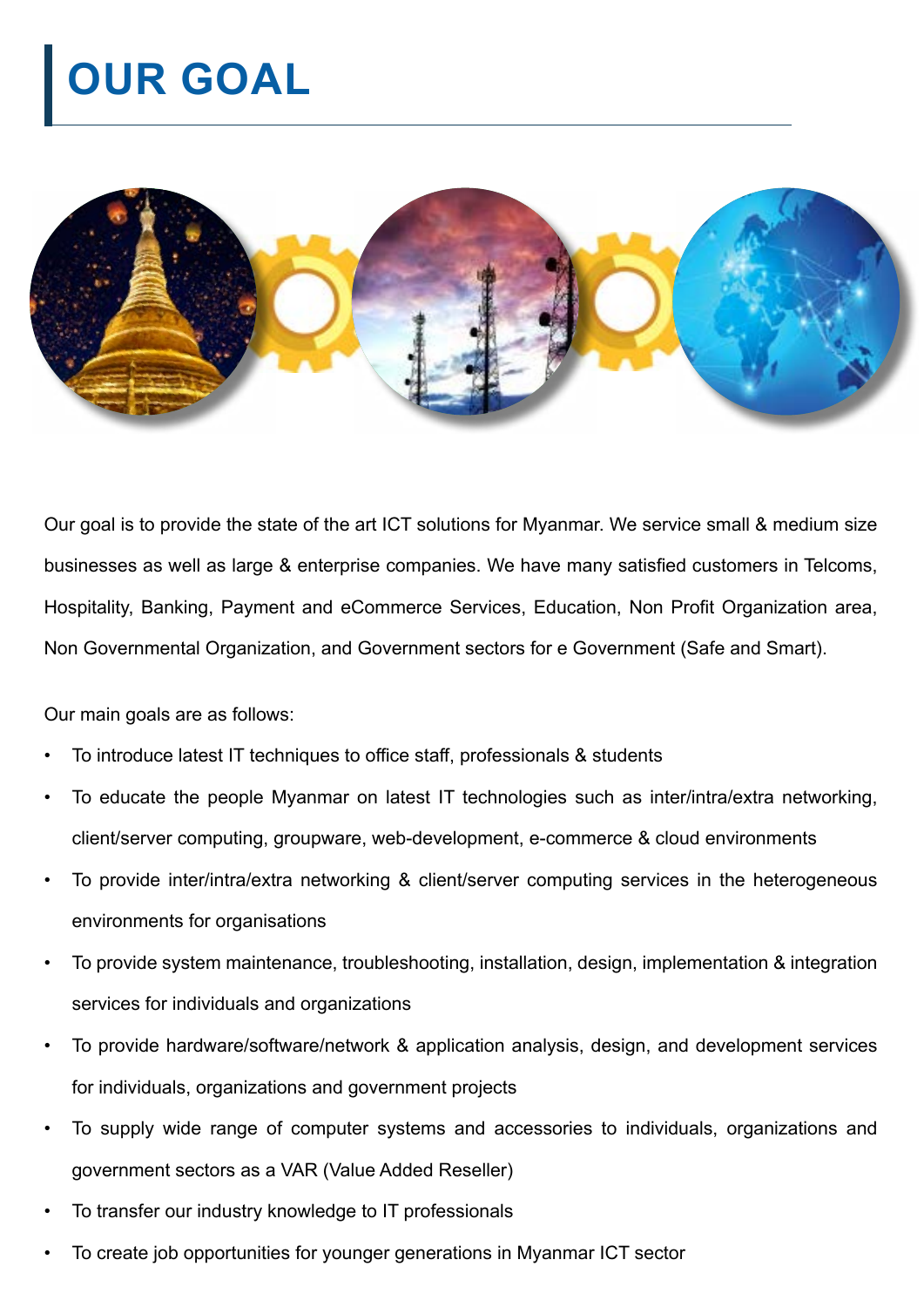## **OUR GOAL**



Our goal is to provide the state of the art ICT solutions for Myanmar. We service small & medium size businesses as well as large & enterprise companies. We have many satisfied customers in Telcoms, Hospitality, Banking, Payment and eCommerce Services, Education, Non Profit Organization area, Non Governmental Organization, and Government sectors for e Government (Safe and Smart).

Our main goals are as follows:

- To introduce latest IT techniques to office staff, professionals & students
- To educate the people Myanmar on latest IT technologies such as inter/intra/extra networking, client/server computing, groupware, web-development, e-commerce & cloud environments
- To provide inter/intra/extra networking & client/server computing services in the heterogeneous environments for organisations
- To provide system maintenance, troubleshooting, installation, design, implementation & integration services for individuals and organizations
- To provide hardware/software/network & application analysis, design, and development services for individuals, organizations and government projects
- To supply wide range of computer systems and accessories to individuals, organizations and government sectors as a VAR (Value Added Reseller)
- To transfer our industry knowledge to IT professionals
- To create job opportunities for younger generations in Myanmar ICT sector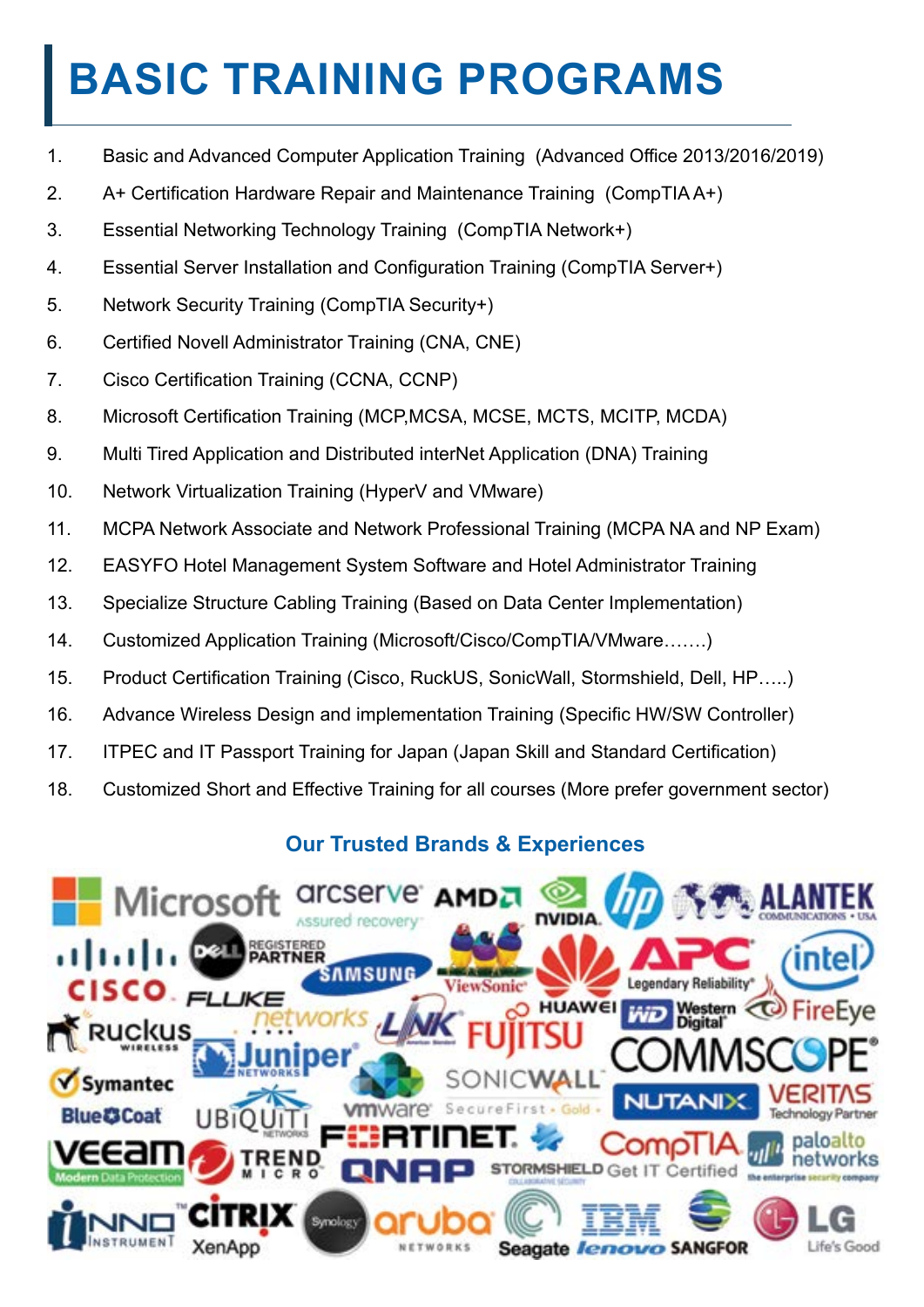### **BASIC TRAINING PROGRAMS**

- 1. Basic and Advanced Computer Application Training (Advanced Office 2013/2016/2019)
- 2. A+ Certification Hardware Repair and Maintenance Training (CompTIA A+)
- 3. Essential Networking Technology Training (CompTIA Network+)
- 4. Essential Server Installation and Configuration Training (CompTIA Server+)
- 5. Network Security Training (CompTIA Security+)
- 6. Certified Novell Administrator Training (CNA, CNE)
- 7. Cisco Certification Training (CCNA, CCNP)
- 8. Microsoft Certification Training (MCP,MCSA, MCSE, MCTS, MCITP, MCDA)
- 9. Multi Tired Application and Distributed interNet Application (DNA) Training
- 10. Network Virtualization Training (HyperV and VMware)
- 11. MCPA Network Associate and Network Professional Training (MCPA NA and NP Exam)
- 12. EASYFO Hotel Management System Software and Hotel Administrator Training
- 13. Specialize Structure Cabling Training (Based on Data Center Implementation)
- 14. Customized Application Training (Microsoft/Cisco/CompTIA/VMware…….)
- 15. Product Certification Training (Cisco, RuckUS, SonicWall, Stormshield, Dell, HP…..)
- 16. Advance Wireless Design and implementation Training (Specific HW/SW Controller)
- 17. ITPEC and IT Passport Training for Japan (Japan Skill and Standard Certification)
- 18. Customized Short and Effective Training for all courses (More prefer government sector)

#### **Our Trusted Brands & Experiences**

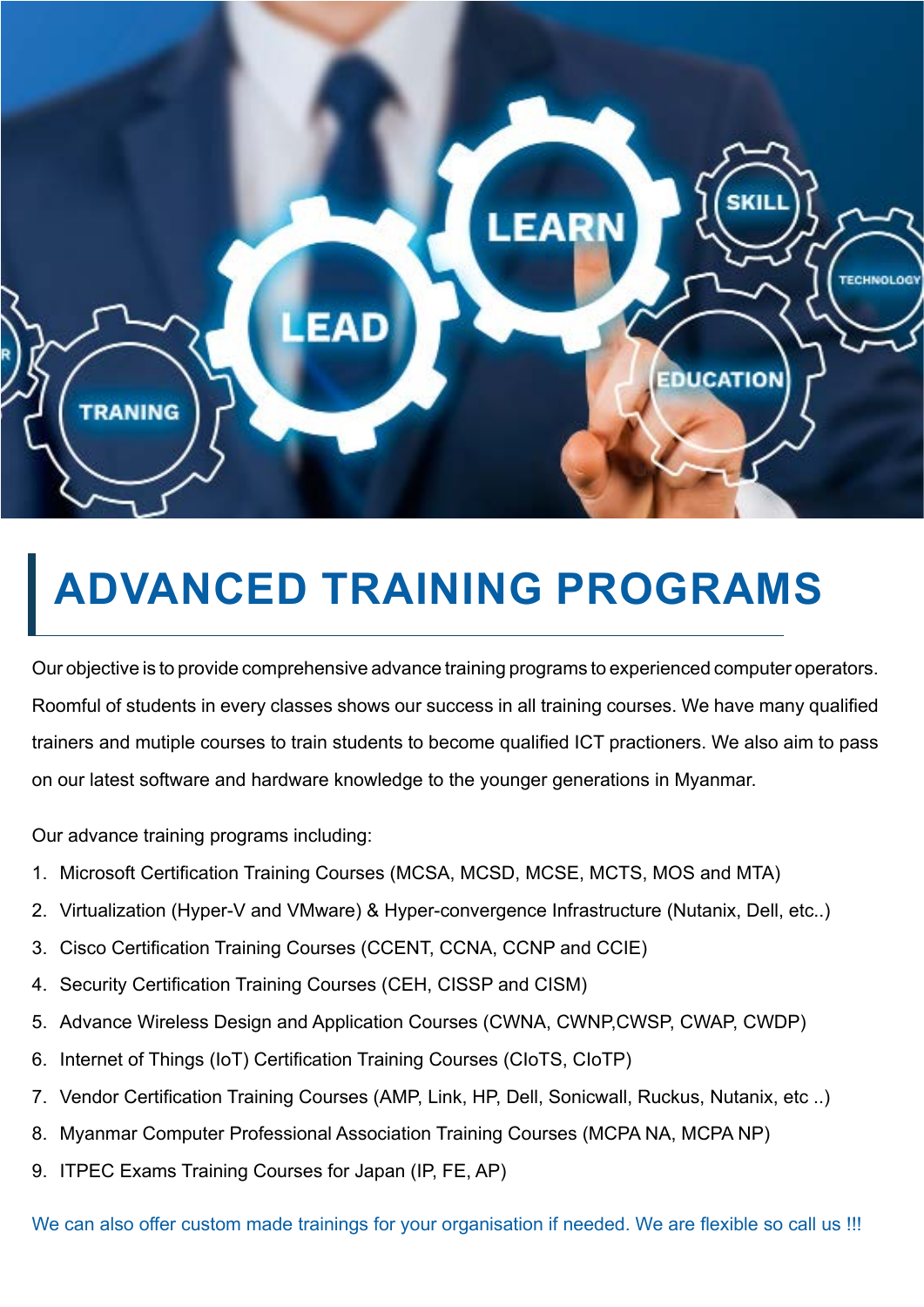

### **ADVANCED TRAINING PROGRAMS**

Our objective is to provide comprehensive advance training programs to experienced computer operators. Roomful of students in every classes shows our success in all training courses. We have many qualified trainers and mutiple courses to train students to become qualified ICT practioners. We also aim to pass on our latest software and hardware knowledge to the younger generations in Myanmar.

Our advance training programs including:

- 1. Microsoft Certification Training Courses (MCSA, MCSD, MCSE, MCTS, MOS and MTA)
- 2. Virtualization (Hyper-V and VMware) & Hyper-convergence Infrastructure (Nutanix, Dell, etc..)
- 3. Cisco Certification Training Courses (CCENT, CCNA, CCNP and CCIE)
- 4. Security Certification Training Courses (CEH, CISSP and CISM)
- 5. Advance Wireless Design and Application Courses (CWNA, CWNP,CWSP, CWAP, CWDP)
- 6. Internet of Things (IoT) Certification Training Courses (CIoTS, CIoTP)
- 7. Vendor Certification Training Courses (AMP, Link, HP, Dell, Sonicwall, Ruckus, Nutanix, etc ..)
- 8. Myanmar Computer Professional Association Training Courses (MCPA NA, MCPA NP)
- 9. ITPEC Exams Training Courses for Japan (IP, FE, AP)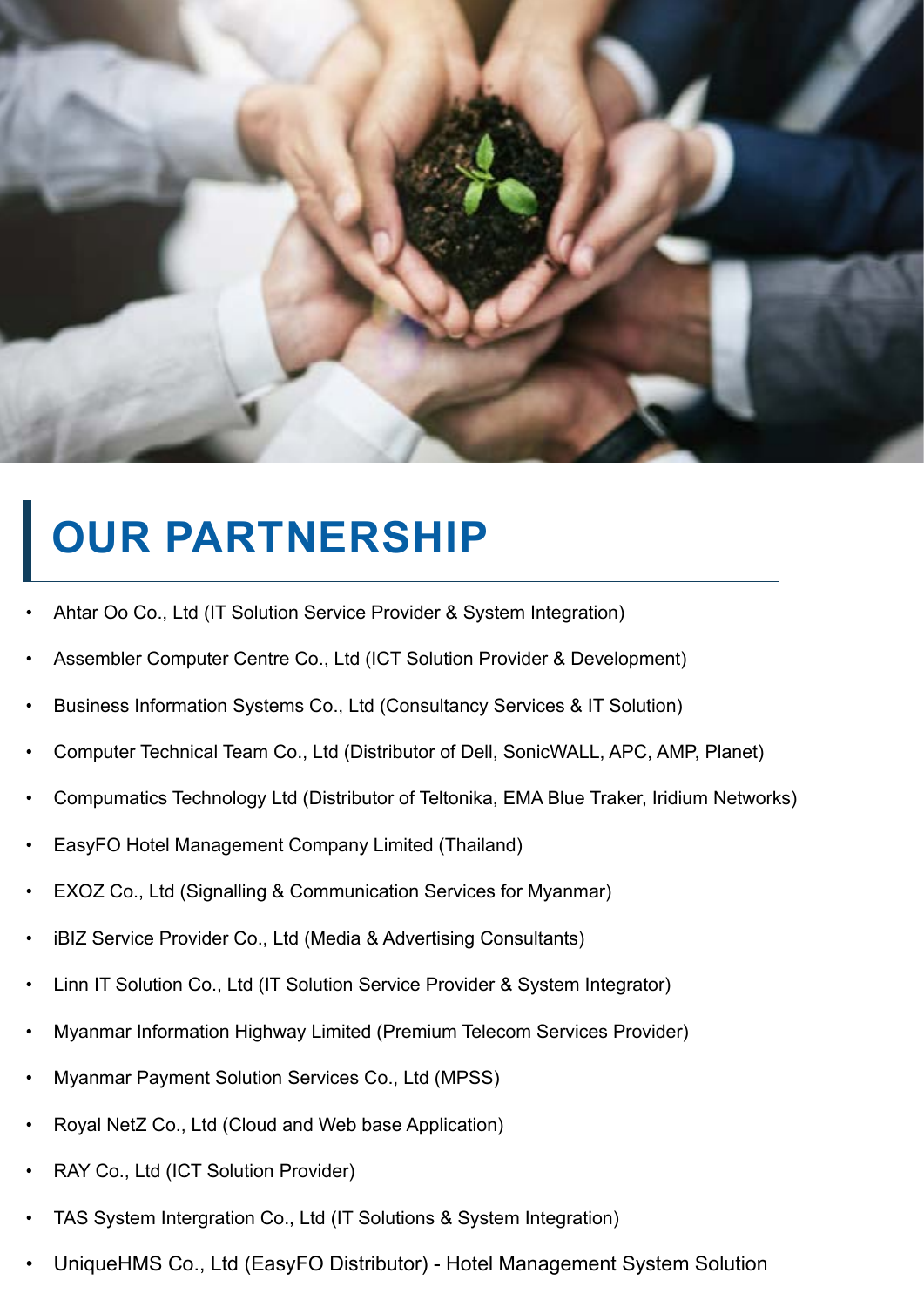

### **OUR PARTNERSHIP**

- Ahtar Oo Co., Ltd (IT Solution Service Provider & System Integration)
- Assembler Computer Centre Co., Ltd (ICT Solution Provider & Development)
- Business Information Systems Co., Ltd (Consultancy Services & IT Solution)
- Computer Technical Team Co., Ltd (Distributor of Dell, SonicWALL, APC, AMP, Planet)
- Compumatics Technology Ltd (Distributor of Teltonika, EMA Blue Traker, Iridium Networks)
- EasyFO Hotel Management Company Limited (Thailand)
- EXOZ Co., Ltd (Signalling & Communication Services for Myanmar)
- iBIZ Service Provider Co., Ltd (Media & Advertising Consultants)
- Linn IT Solution Co., Ltd (IT Solution Service Provider & System Integrator)
- Myanmar Information Highway Limited (Premium Telecom Services Provider)
- Myanmar Payment Solution Services Co., Ltd (MPSS)
- Royal NetZ Co., Ltd (Cloud and Web base Application)
- RAY Co., Ltd (ICT Solution Provider)
- TAS System Intergration Co., Ltd (IT Solutions & System Integration)
- UniqueHMS Co., Ltd (EasyFO Distributor) Hotel Management System Solution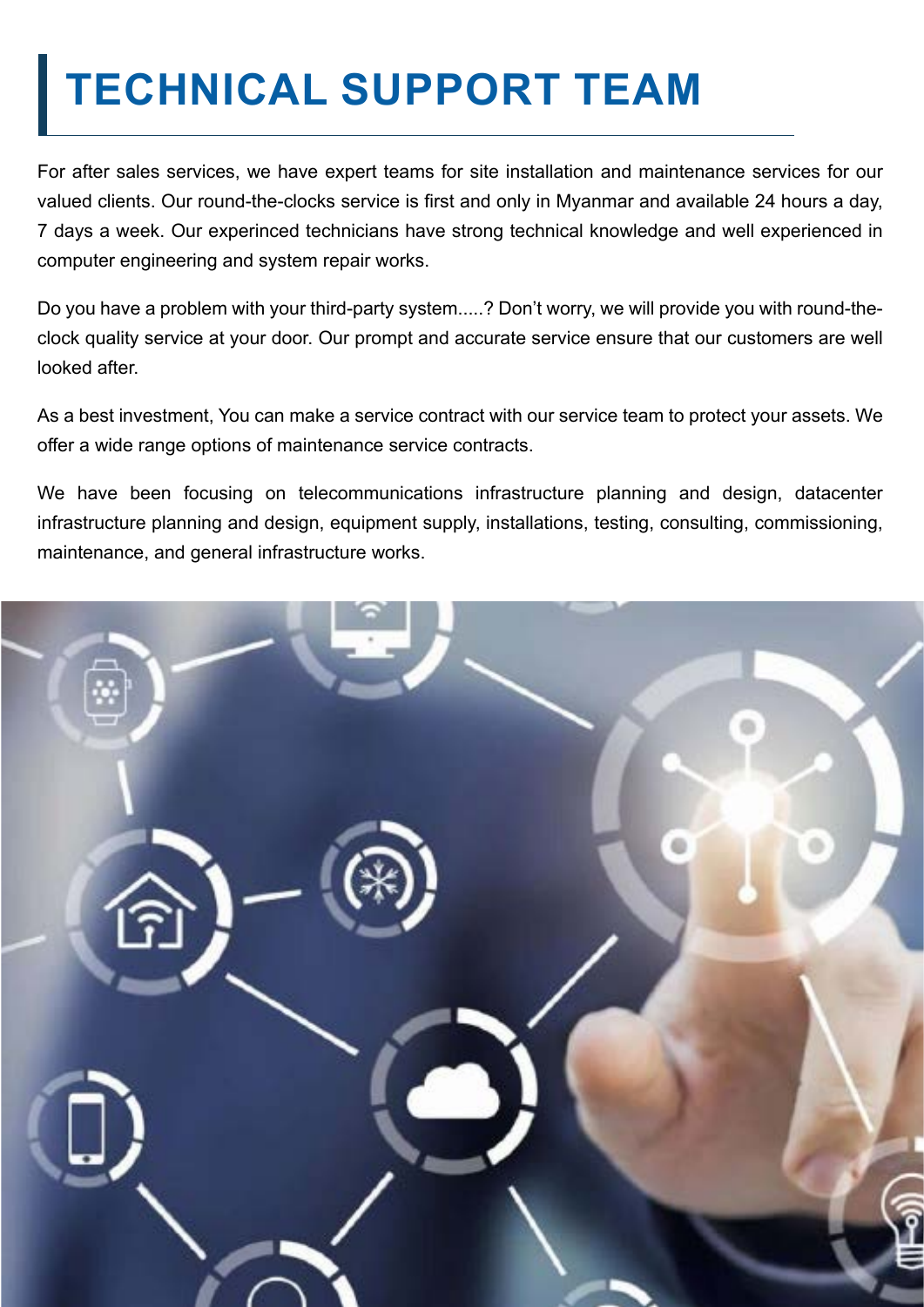### **TECHNICAL SUPPORT TEAM**

For after sales services, we have expert teams for site installation and maintenance services for our valued clients. Our round-the-clocks service is first and only in Myanmar and available 24 hours a day, 7 days a week. Our experinced technicians have strong technical knowledge and well experienced in computer engineering and system repair works.

Do you have a problem with your third-party system.....? Don't worry, we will provide you with round-theclock quality service at your door. Our prompt and accurate service ensure that our customers are well looked after.

As a best investment, You can make a service contract with our service team to protect your assets. We offer a wide range options of maintenance service contracts.

We have been focusing on telecommunications infrastructure planning and design, datacenter infrastructure planning and design, equipment supply, installations, testing, consulting, commissioning, maintenance, and general infrastructure works.

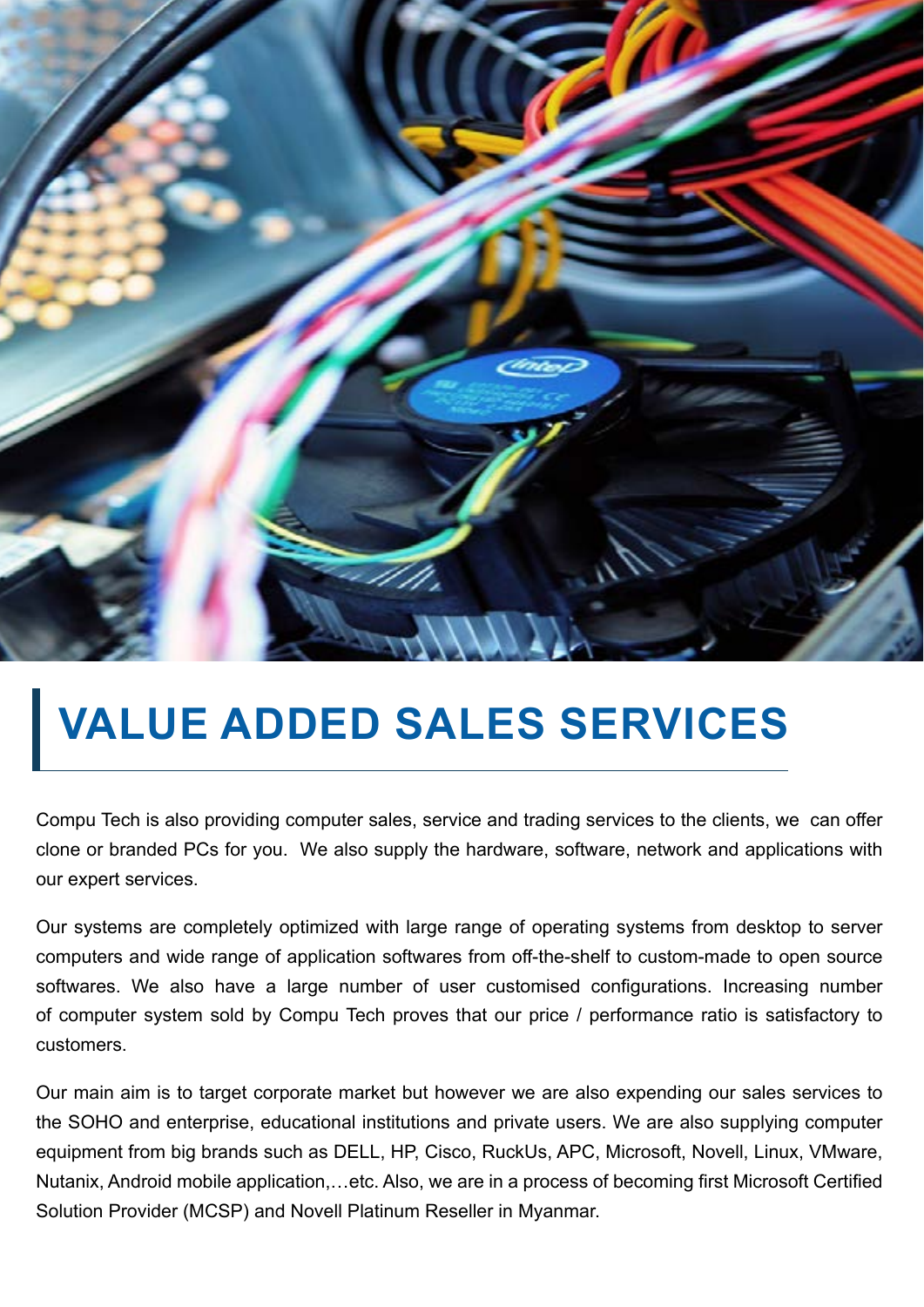

### **VALUE ADDED SALES SERVICES**

Compu Tech is also providing computer sales, service and trading services to the clients, we can offer clone or branded PCs for you. We also supply the hardware, software, network and applications with our expert services.

Our systems are completely optimized with large range of operating systems from desktop to server computers and wide range of application softwares from off-the-shelf to custom-made to open source softwares. We also have a large number of user customised configurations. Increasing number of computer system sold by Compu Tech proves that our price / performance ratio is satisfactory to customers.

Our main aim is to target corporate market but however we are also expending our sales services to the SOHO and enterprise, educational institutions and private users. We are also supplying computer equipment from big brands such as DELL, HP, Cisco, RuckUs, APC, Microsoft, Novell, Linux, VMware, Nutanix, Android mobile application,…etc. Also, we are in a process of becoming first Microsoft Certified Solution Provider (MCSP) and Novell Platinum Reseller in Myanmar.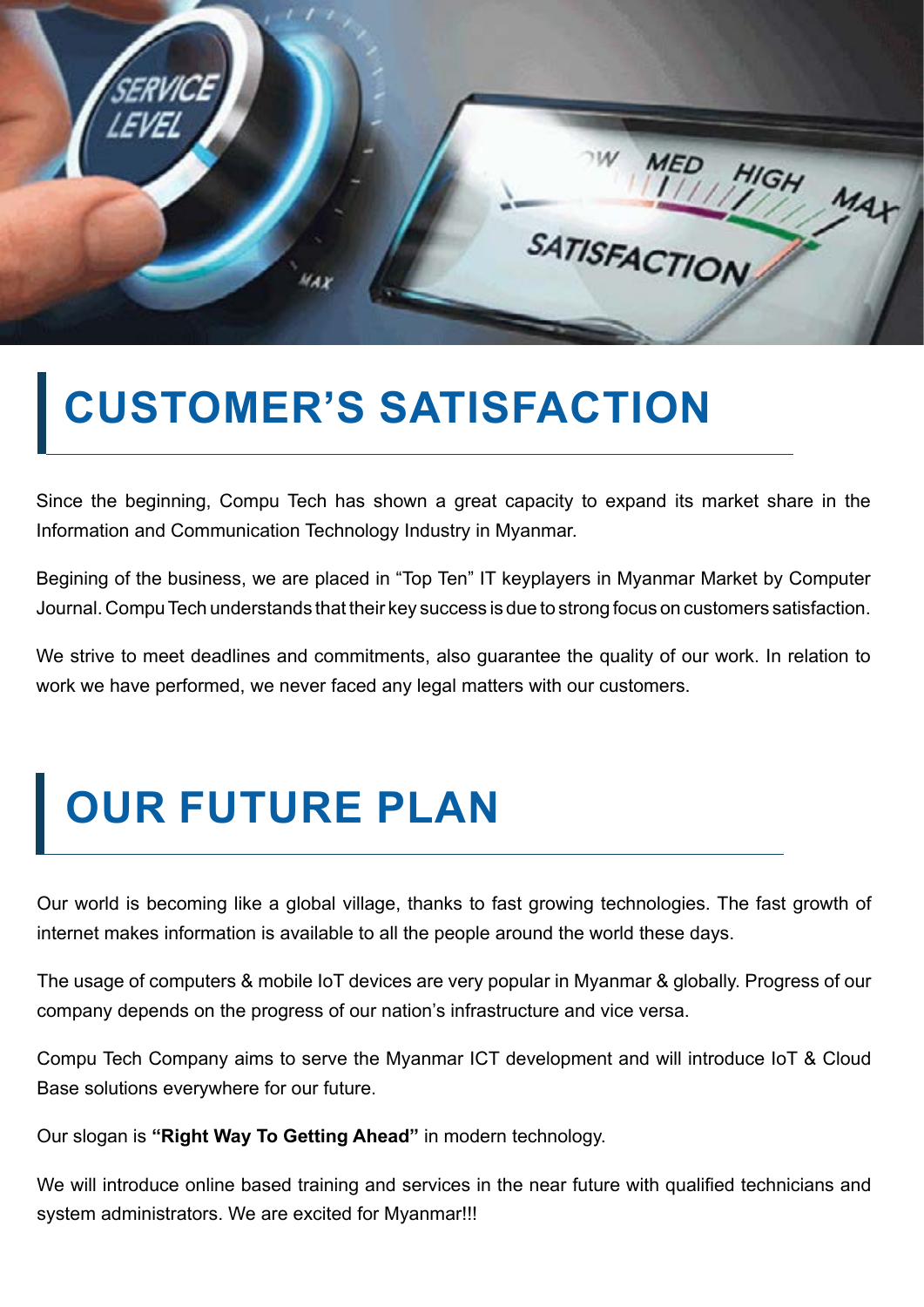

### **CUSTOMER'S SATISFACTION**

Since the beginning, Compu Tech has shown a great capacity to expand its market share in the Information and Communication Technology Industry in Myanmar.

Begining of the business, we are placed in "Top Ten" IT keyplayers in Myanmar Market by Computer Journal. Compu Tech understands that their key success is due to strong focus on customers satisfaction.

We strive to meet deadlines and commitments, also quarantee the quality of our work. In relation to work we have performed, we never faced any legal matters with our customers.

### **OUR FUTURE PLAN**

Our world is becoming like a global village, thanks to fast growing technologies. The fast growth of internet makes information is available to all the people around the world these days.

The usage of computers & mobile IoT devices are very popular in Myanmar & globally. Progress of our company depends on the progress of our nation's infrastructure and vice versa.

Compu Tech Company aims to serve the Myanmar ICT development and will introduce IoT & Cloud Base solutions everywhere for our future.

Our slogan is **"Right Way To Getting Ahead"** in modern technology.

We will introduce online based training and services in the near future with qualified technicians and system administrators. We are excited for Myanmar!!!